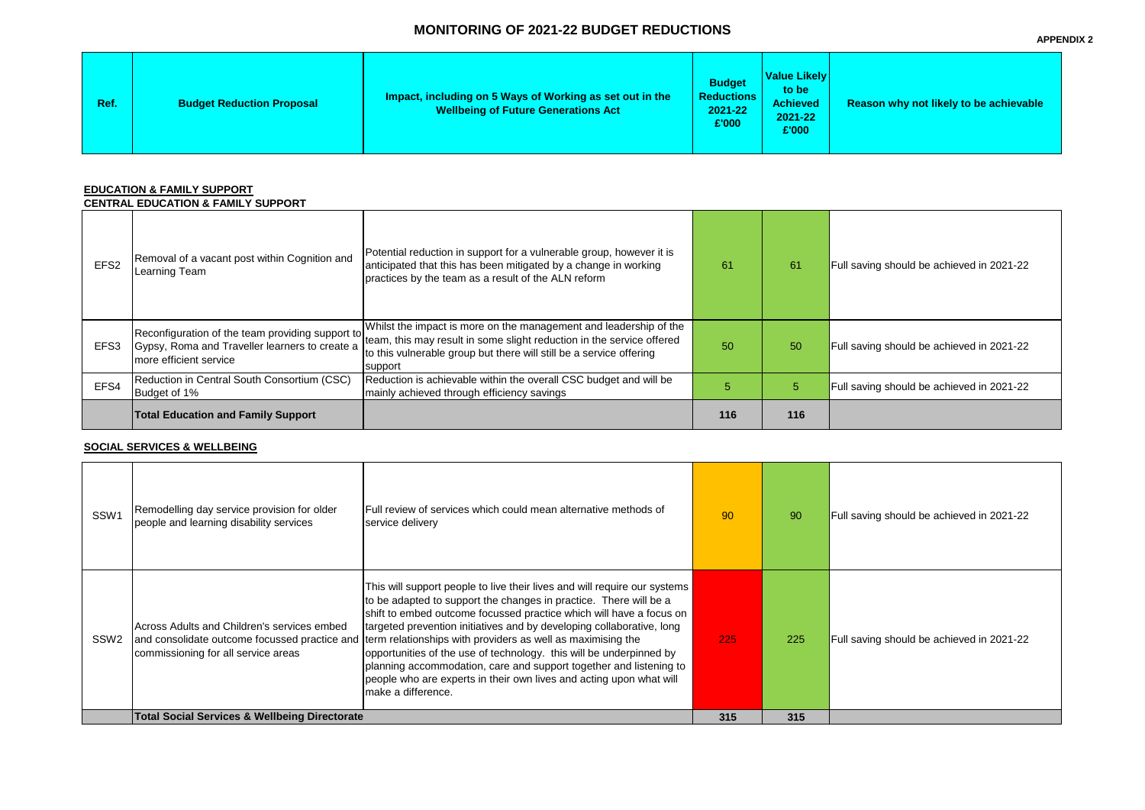# **MONITORING OF 2021-22 BUDGET REDUCTIONS**

**Rason why not likely to be achievable** 

ving should be achieved in 2021-22

ving should be achieved in 2021-22

ing should be achieved in 2021-22

ving should be achieved in 2021-22

ving should be achieved in 2021-22

| <b>Ref</b> | <b>Budget Reduction Proposal</b> | Impact, including on 5 Ways of Working as set out in the<br><b>Wellbeing of Future Generations Act</b> | <b>Budget</b><br><b>Reductions</b><br>2021-22<br>£'000 | <b>Value Likely</b><br>to be<br><b>Achieved</b><br>2021-22<br>£'000 | <b>Reas</b> |
|------------|----------------------------------|--------------------------------------------------------------------------------------------------------|--------------------------------------------------------|---------------------------------------------------------------------|-------------|
|------------|----------------------------------|--------------------------------------------------------------------------------------------------------|--------------------------------------------------------|---------------------------------------------------------------------|-------------|

### **EDUCATION & FAMILY SUPPORT**

#### **CENTRAL EDUCATION & FAMILY SUPPORT**

|                  | VERINAE EDUVATIVN & LAMIET VVI I VI\I                                    |                                                                                                                                                                                                                                                                               |     |     |                  |
|------------------|--------------------------------------------------------------------------|-------------------------------------------------------------------------------------------------------------------------------------------------------------------------------------------------------------------------------------------------------------------------------|-----|-----|------------------|
| EFS <sub>2</sub> | Removal of a vacant post within Cognition and<br>Learning Team           | Potential reduction in support for a vulnerable group, however it is<br>anticipated that this has been mitigated by a change in working<br>practices by the team as a result of the ALN reform                                                                                | 61  | 61  | Full savi        |
| EFS <sub>3</sub> | Gypsy, Roma and Traveller learners to create a<br>more efficient service | Whilst the impact is more on the management and leadership of the<br>Reconfiguration of the team providing support to team, this may result in some slight reduction in the service offered<br>to this vulnerable group but there will still be a service offering<br>support | 50  | 50  | Full sav         |
| EFS4             | Reduction in Central South Consortium (CSC)<br>Budget of 1%              | Reduction is achievable within the overall CSC budget and will be<br>mainly achieved through efficiency savings                                                                                                                                                               | 5   | 5   | <b>Full savi</b> |
|                  | <b>Total Education and Family Support</b>                                |                                                                                                                                                                                                                                                                               | 116 | 116 |                  |

|                  | <b>Total Social Services &amp; Wellbeing Directorate</b>                                                                            | Imake a difference.                                                                                                                                                                                                                                                                                                                                                                                                                                                                                                                                                               | 315 | 315 |          |
|------------------|-------------------------------------------------------------------------------------------------------------------------------------|-----------------------------------------------------------------------------------------------------------------------------------------------------------------------------------------------------------------------------------------------------------------------------------------------------------------------------------------------------------------------------------------------------------------------------------------------------------------------------------------------------------------------------------------------------------------------------------|-----|-----|----------|
| SSW <sub>2</sub> | Across Adults and Children's services embed<br>and consolidate outcome focussed practice and<br>commissioning for all service areas | This will support people to live their lives and will require our systems<br>to be adapted to support the changes in practice. There will be a<br>shift to embed outcome focussed practice which will have a focus on<br>targeted prevention initiatives and by developing collaborative, long<br>term relationships with providers as well as maximising the<br>opportunities of the use of technology. this will be underpinned by<br>planning accommodation, care and support together and listening to<br>people who are experts in their own lives and acting upon what will | 225 | 225 | Full sav |
| SSW1             | Remodelling day service provision for older<br>people and learning disability services                                              | Full review of services which could mean alternative methods of<br>service delivery                                                                                                                                                                                                                                                                                                                                                                                                                                                                                               | 90  | 90  | Full sav |

#### **SOCIAL SERVICES & WELLBEING**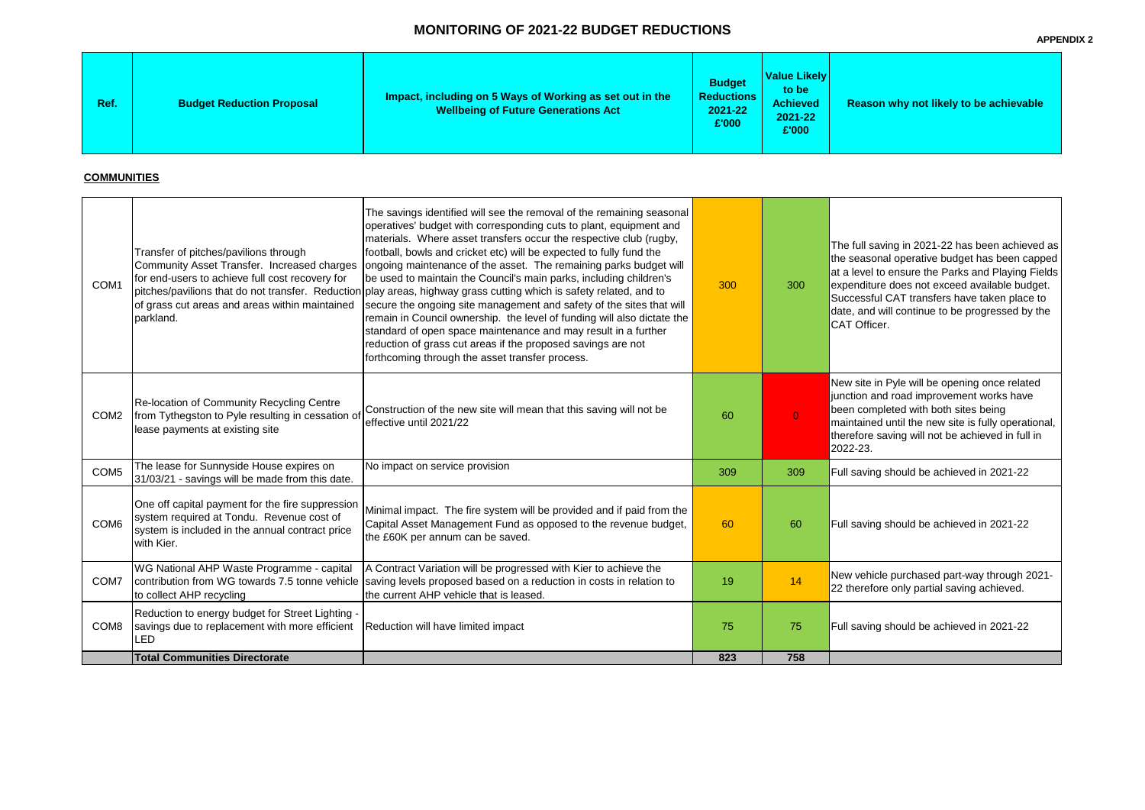## **MONITORING OF 2021-22 BUDGET REDUCTIONS**

#### **Reason why not likely to be achievable**

saving in 2021-22 has been achieved as asonal operative budget has been capped vel to ensure the Parks and Playing Fields liture does not exceed available budget. sful CAT transfers have taken place to nd will continue to be progressed by the fficer.

te in Pyle will be opening once related n and road improvement works have ompleted with both sites being ined until the new site is fully operational, re saving will not be achieved in full in  $23.$ 

ving should be achieved in 2021-22

ving should be achieved in 2021-22

hicle purchased part-way through 2021efore only partial saving achieved.

ving should be achieved in 2021-22

### **COMMUNITIES**

| COM <sub>8</sub> | to collect AHP recycling<br>Reduction to energy budget for Street Lighting -<br>savings due to replacement with more efficient<br>LED<br><b>Total Communities Directorate</b>                          | Reduction will have limited impact                                                                                                                                                                                                                                                                                                                                                                                                                                                                                                                                                                                                                                                                                                                                                                                                                                                                 | 75<br>823 | 75<br>758      | Full sav                                                                                |
|------------------|--------------------------------------------------------------------------------------------------------------------------------------------------------------------------------------------------------|----------------------------------------------------------------------------------------------------------------------------------------------------------------------------------------------------------------------------------------------------------------------------------------------------------------------------------------------------------------------------------------------------------------------------------------------------------------------------------------------------------------------------------------------------------------------------------------------------------------------------------------------------------------------------------------------------------------------------------------------------------------------------------------------------------------------------------------------------------------------------------------------------|-----------|----------------|-----------------------------------------------------------------------------------------|
|                  |                                                                                                                                                                                                        |                                                                                                                                                                                                                                                                                                                                                                                                                                                                                                                                                                                                                                                                                                                                                                                                                                                                                                    |           |                |                                                                                         |
| COM7             | WG National AHP Waste Programme - capital<br>contribution from WG towards 7.5 tonne vehicle                                                                                                            | A Contract Variation will be progressed with Kier to achieve the<br>saving levels proposed based on a reduction in costs in relation to<br>the current AHP vehicle that is leased.                                                                                                                                                                                                                                                                                                                                                                                                                                                                                                                                                                                                                                                                                                                 | 19        | 14             | New ve<br>22 there                                                                      |
| COM <sub>6</sub> | One off capital payment for the fire suppression<br>system required at Tondu. Revenue cost of<br>system is included in the annual contract price<br>with Kier.                                         | Minimal impact. The fire system will be provided and if paid from the<br>Capital Asset Management Fund as opposed to the revenue budget,<br>the £60K per annum can be saved.                                                                                                                                                                                                                                                                                                                                                                                                                                                                                                                                                                                                                                                                                                                       | 60        | 60             | Full sav                                                                                |
| COM <sub>5</sub> | The lease for Sunnyside House expires on<br>31/03/21 - savings will be made from this date.                                                                                                            | No impact on service provision                                                                                                                                                                                                                                                                                                                                                                                                                                                                                                                                                                                                                                                                                                                                                                                                                                                                     | 309       | 309            | Full sav                                                                                |
| COM <sub>2</sub> | <b>Re-location of Community Recycling Centre</b><br>from Tythegston to Pyle resulting in cessation of<br>lease payments at existing site                                                               | Construction of the new site will mean that this saving will not be<br>effective until 2021/22                                                                                                                                                                                                                                                                                                                                                                                                                                                                                                                                                                                                                                                                                                                                                                                                     | 60        | $\overline{0}$ | New sit<br>junctior<br>been co<br>maintai<br>therefor<br>2022-2                         |
| COM <sub>1</sub> | Transfer of pitches/pavilions through<br>Community Asset Transfer. Increased charges<br>for end-users to achieve full cost recovery for<br>of grass cut areas and areas within maintained<br>parkland. | The savings identified will see the removal of the remaining seasonal<br>operatives' budget with corresponding cuts to plant, equipment and<br>materials. Where asset transfers occur the respective club (rugby,<br>football, bowls and cricket etc) will be expected to fully fund the<br>ongoing maintenance of the asset. The remaining parks budget will<br>be used to maintain the Council's main parks, including children's<br>pitches/pavilions that do not transfer. Reduction play areas, highway grass cutting which is safety related, and to<br>secure the ongoing site management and safety of the sites that will<br>remain in Council ownership. the level of funding will also dictate the<br>standard of open space maintenance and may result in a further<br>reduction of grass cut areas if the proposed savings are not<br>forthcoming through the asset transfer process. | 300       | 300            | The full<br>the sea<br>at a lev<br>expend<br><b>Succes</b><br>date, ar<br><b>CAT Of</b> |